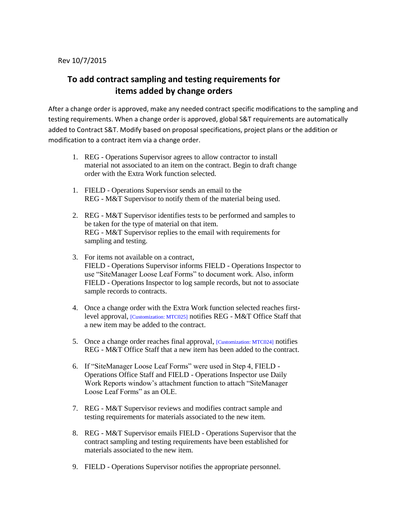## **To add contract sampling and testing requirements for items added by change orders**

After a change order is approved, make any needed contract specific modifications to the sampling and testing requirements. When a change order is approved, global S&T requirements are automatically added to Contract S&T. Modify based on proposal specifications, project plans or the addition or modification to a contract item via a change order.

- 1. REG Operations Supervisor agrees to allow contractor to install material not associated to an item on the contract. Begin to draft change order with the Extra Work function selected.
- 1. FIELD Operations Supervisor sends an email to the REG - M&T Supervisor to notify them of the material being used.
- 2. REG M&T Supervisor identifies tests to be performed and samples to be taken for the type of material on that item. REG - M&T Supervisor replies to the email with requirements for sampling and testing.
- 3. For items not available on a contract, FIELD - Operations Supervisor informs FIELD - Operations Inspector to use "SiteManager Loose Leaf Forms" to document work. Also, inform FIELD - Operations Inspector to log sample records, but not to associate sample records to contracts.
- 4. Once a change order with the Extra Work function selected reaches firstlevel approval, [Customization: MTC025] notifies REG - M&T Office Staff that a new item may be added to the contract.
- 5. Once a change order reaches final approval, [Customization: MTC024] notifies REG - M&T Office Staff that a new item has been added to the contract.
- 6. If "SiteManager Loose Leaf Forms" were used in Step 4, FIELD Operations Office Staff and FIELD - Operations Inspector use Daily Work Reports window's attachment function to attach "SiteManager Loose Leaf Forms" as an OLE.
- 7. REG M&T Supervisor reviews and modifies contract sample and testing requirements for materials associated to the new item.
- 8. REG M&T Supervisor emails FIELD Operations Supervisor that the contract sampling and testing requirements have been established for materials associated to the new item.
- 9. FIELD Operations Supervisor notifies the appropriate personnel.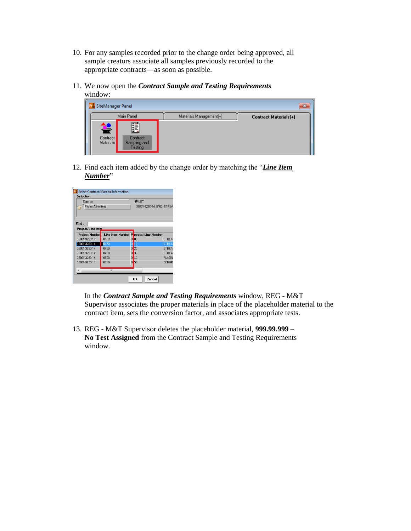- 10. For any samples recorded prior to the change order being approved, all sample creators associate all samples previously recorded to the appropriate contracts—as soon as possible.
- 11. We now open the *Contract Sample and Testing Requirements* window:

| SiteManager Panel                 |                                                   |                         | x                            |
|-----------------------------------|---------------------------------------------------|-------------------------|------------------------------|
|                                   | Main Panel                                        | Materials Management(+) | <b>Contract Materials(+)</b> |
| 雈<br>Contract<br><b>Materials</b> | <b>fil</b><br>Contract<br>Sampling and<br>Testing |                         |                              |

12. Find each item added by the change order by matching the "*Line Item Number*"

| Contract                               |                                              |                      | 4PILOT                     |               |
|----------------------------------------|----------------------------------------------|----------------------|----------------------------|---------------|
| Project/Line Item                      |                                              |                      | 36001-3290-14, 0460, STREA |               |
|                                        |                                              |                      |                            |               |
|                                        |                                              |                      |                            |               |
| Find:<br>Project/Line Item             |                                              |                      |                            |               |
|                                        |                                              |                      |                            |               |
| <b>Project Number</b><br>36001-3290-14 | Line Item Number Poposal Line Number<br>0460 | 00<br>Ω              |                            | <b>STREAT</b> |
| 36001-3290-14                          | 0470                                         | ō<br>10              |                            | <b>STREAT</b> |
| 36001-3290-14                          | 0480                                         | Ō<br>20              |                            | <b>STREAM</b> |
| 36001-3290-14                          | 0490                                         | 30<br>Ō              |                            | <b>STREAT</b> |
| 36001-3290-14                          | 0500                                         | $\overline{0}$<br>40 |                            | <b>PLACIN</b> |
| 36001-3290-14                          | 0510                                         | 0<br>50              |                            | <b>SEDIME</b> |
|                                        |                                              |                      |                            |               |
|                                        | Ш                                            |                      |                            |               |

In the *Contract Sample and Testing Requirements* window, REG - M&T Supervisor associates the proper materials in place of the placeholder material to the contract item, sets the conversion factor, and associates appropriate tests.

13. REG - M&T Supervisor deletes the placeholder material, **999.99.999 – No Test Assigned** from the Contract Sample and Testing Requirements window.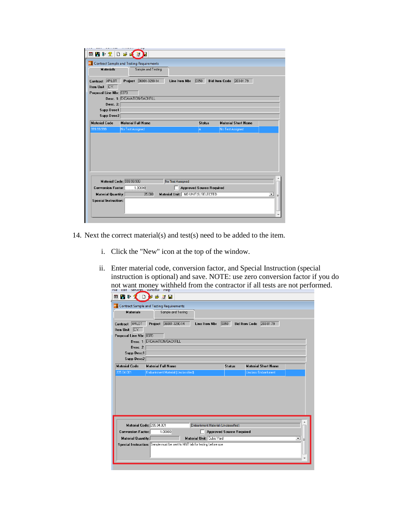| ■■■■全国                                                                              |                              |                    |                                                        |                                 |               |                      |                            |   |
|-------------------------------------------------------------------------------------|------------------------------|--------------------|--------------------------------------------------------|---------------------------------|---------------|----------------------|----------------------------|---|
| <b>Contract Sample and Testing Requirements</b>                                     |                              |                    |                                                        |                                 |               |                      |                            |   |
| <b>Materials</b>                                                                    |                              | Sample and Testing |                                                        |                                 |               |                      |                            |   |
| Contract 4PILOT<br>Item Unit C.Y.                                                   | Project                      | 36001-3290-14      |                                                        | Line Item Nbr                   | 0350          | <b>Bid Item Code</b> | 203-01.79                  |   |
| Proposal Line Nbr: 0370                                                             |                              |                    |                                                        |                                 |               |                      |                            |   |
|                                                                                     | Desc. 1: EXCAVATION/BACKFILL |                    |                                                        |                                 |               |                      |                            |   |
| Desc. 2:                                                                            |                              |                    |                                                        |                                 |               |                      |                            |   |
| Supp Desc1<br>Supp Desc2                                                            |                              |                    |                                                        |                                 |               |                      |                            |   |
|                                                                                     |                              |                    |                                                        |                                 |               |                      |                            |   |
| <b>Material Code</b>                                                                | <b>Material Full Name</b>    |                    |                                                        |                                 | <b>Status</b> |                      | <b>Material Short Name</b> |   |
| 999.99.999                                                                          | No Test Assigned             |                    |                                                        |                                 | A.            | No Test Assigned     |                            |   |
| Material Code: 999.99.999<br><b>Conversion Factor:</b><br><b>Material Quantity:</b> |                              | 1.00000<br>25,000  | No Test Assigned<br>Material Unit: NO UNIT(S) SELECTED | <b>Approved Source Required</b> |               |                      |                            |   |
|                                                                                     |                              |                    |                                                        |                                 |               |                      |                            | ▼ |
| <b>Special Instruction:</b>                                                         |                              |                    |                                                        |                                 |               |                      |                            |   |
|                                                                                     |                              |                    |                                                        |                                 |               |                      |                            |   |

- 14. Next the correct material(s) and test(s) need to be added to the item.
	- i. Click the "New" icon at the top of the window.
	- ii. Enter material code, conversion factor, and Special Instruction (special instruction is optional) and save. NOTE: use zero conversion factor if you do not want money withheld from the contractor if all tests are not performed.

| <b>Materials</b>          | Sample and Testing                 |                                    |                                 |                                   |        |
|---------------------------|------------------------------------|------------------------------------|---------------------------------|-----------------------------------|--------|
| 4PILOT<br>Contract        | 36001-3290-14<br>Project           | Line Item Nbr                      | 0350                            | 203-01.79<br><b>Bid Item Code</b> |        |
| Item Unit C.Y.            |                                    |                                    |                                 |                                   |        |
| Proposal Line Nbr: 0370   |                                    |                                    |                                 |                                   |        |
|                           | Desc. 1: EXCAVATION/BACKFILL       |                                    |                                 |                                   |        |
| Desc. 2:                  |                                    |                                    |                                 |                                   |        |
| Supp Desc1                |                                    |                                    |                                 |                                   |        |
| Supp Desc2                |                                    |                                    |                                 |                                   |        |
| <b>Material Code</b>      | <b>Material Full Name</b>          |                                    | <b>Status</b>                   | <b>Material Short Name</b>        |        |
|                           |                                    |                                    |                                 |                                   |        |
| 205.04.001                | Embankment Material (Unclassified) |                                    |                                 | <b>Unclass Embankment</b>         |        |
|                           | Material Code: 205.04.001          | Embankment Material (Unclassified) |                                 |                                   |        |
| <b>Conversion Factor:</b> | 1.00000                            |                                    |                                 |                                   |        |
| <b>Material Quantity:</b> |                                    | Material Unit: Cubic Yard          | <b>Approved Source Required</b> |                                   | ᅬ<br>Ξ |